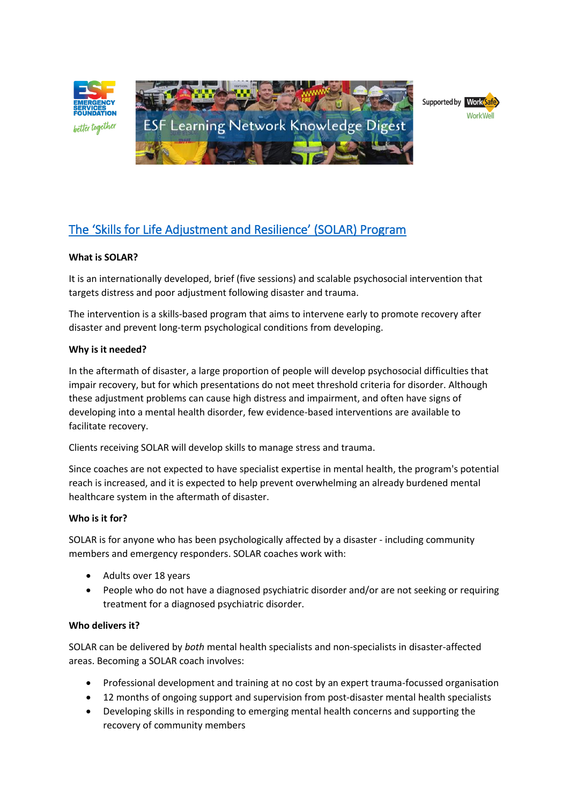



# **What is SOLAR?**

It is an internationally developed, brief (five sessions) and scalable psychosocial intervention that targets distress and poor adjustment following disaster and trauma.

The intervention is a skills-based program that aims to intervene early to promote recovery after disaster and prevent long-term psychological conditions from developing.

### **Why is it needed?**

In the aftermath of disaster, a large proportion of people will develop psychosocial difficulties that impair recovery, but for which presentations do not meet threshold criteria for disorder. Although these adjustment problems can cause high distress and impairment, and often have signs of developing into a mental health disorder, few evidence-based interventions are available to facilitate recovery.

Clients receiving SOLAR will develop skills to manage stress and trauma.

Since coaches are not expected to have specialist expertise in mental health, the program's potential reach is increased, and it is expected to help prevent overwhelming an already burdened mental healthcare system in the aftermath of disaster.

### **Who is it for?**

SOLAR is for anyone who has been psychologically affected by a disaster - including community members and emergency responders. SOLAR coaches work with:

- Adults over 18 years
- People who do not have a diagnosed psychiatric disorder and/or are not seeking or requiring treatment for a diagnosed psychiatric disorder.

### **Who delivers it?**

SOLAR can be delivered by *both* mental health specialists and non-specialists in disaster-affected areas. Becoming a SOLAR coach involves:

- Professional development and training at no cost by an expert trauma-focussed organisation
- 12 months of ongoing support and supervision from post-disaster mental health specialists
- Developing skills in responding to emerging mental health concerns and supporting the recovery of community members